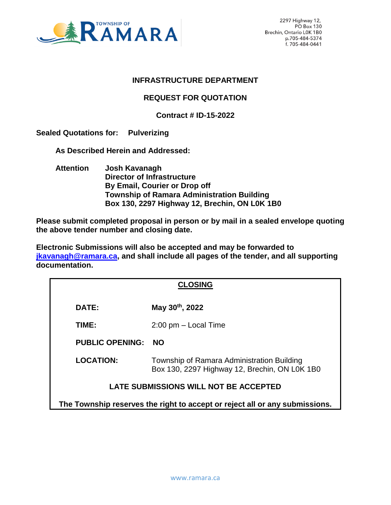

#### **INFRASTRUCTURE DEPARTMENT**

#### **REQUEST FOR QUOTATION**

#### **Contract # ID-15-2022**

**Sealed Quotations for: Pulverizing** 

 **As Described Herein and Addressed:** 

 **Attention Josh Kavanagh Director of Infrastructure By Email, Courier or Drop off Township of Ramara Administration Building Box 130, 2297 Highway 12, Brechin, ON L0K 1B0**

**Please submit completed proposal in person or by mail in a sealed envelope quoting the above tender number and closing date.**

**Electronic Submissions will also be accepted and may be forwarded to [jkavanagh@ramara.ca,](mailto:jkavanagh@ramara.ca) and shall include all pages of the tender, and all supporting documentation.** 

| <b>CLOSING</b>                                                              |                                                                                             |  |
|-----------------------------------------------------------------------------|---------------------------------------------------------------------------------------------|--|
| DATE:                                                                       | May 30th, 2022                                                                              |  |
| TIME:                                                                       | $2:00$ pm $-$ Local Time                                                                    |  |
| <b>PUBLIC OPENING:</b>                                                      | <b>NO</b>                                                                                   |  |
| <b>LOCATION:</b>                                                            | Township of Ramara Administration Building<br>Box 130, 2297 Highway 12, Brechin, ON L0K 1B0 |  |
| LATE SUBMISSIONS WILL NOT BE ACCEPTED                                       |                                                                                             |  |
| The Township reserves the right to accept or reject all or any submissions. |                                                                                             |  |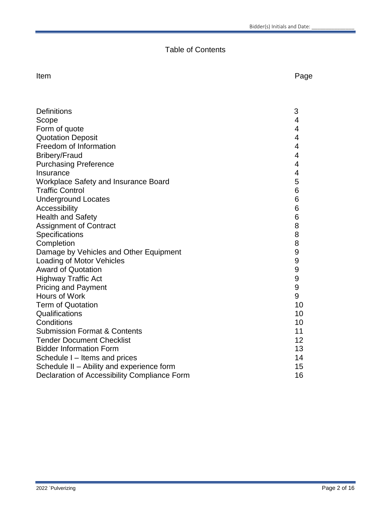# Table of Contents

Item **International Contract Contract Contract Contract Contract Contract Contract Contract Contract Contract Contract Contract Contract Contract Contract Contract Contract Contract Contract Contract Contract Contract Cont** 

| <b>Definitions</b>                           | 3  |
|----------------------------------------------|----|
| Scope                                        | 4  |
| Form of quote                                | 4  |
| <b>Quotation Deposit</b>                     | 4  |
| Freedom of Information                       | 4  |
| <b>Bribery/Fraud</b>                         | 4  |
| <b>Purchasing Preference</b>                 | 4  |
| Insurance                                    | 4  |
| Workplace Safety and Insurance Board         | 5  |
| <b>Traffic Control</b>                       | 6  |
| <b>Underground Locates</b>                   | 6  |
| Accessibility                                | 6  |
| <b>Health and Safety</b>                     | 6  |
| <b>Assignment of Contract</b>                | 8  |
| Specifications                               | 8  |
| Completion                                   | 8  |
| Damage by Vehicles and Other Equipment       | 9  |
| <b>Loading of Motor Vehicles</b>             | 9  |
| <b>Award of Quotation</b>                    | 9  |
| <b>Highway Traffic Act</b>                   | 9  |
| <b>Pricing and Payment</b>                   | 9  |
| Hours of Work                                | 9  |
| <b>Term of Quotation</b>                     | 10 |
| Qualifications                               | 10 |
| Conditions                                   | 10 |
| <b>Submission Format &amp; Contents</b>      | 11 |
| <b>Tender Document Checklist</b>             | 12 |
| <b>Bidder Information Form</b>               | 13 |
| Schedule I – Items and prices                | 14 |
| Schedule II - Ability and experience form    | 15 |
| Declaration of Accessibility Compliance Form | 16 |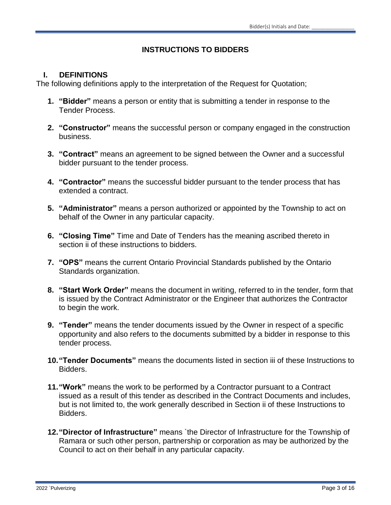# **INSTRUCTIONS TO BIDDERS**

#### **I. DEFINITIONS**

The following definitions apply to the interpretation of the Request for Quotation;

- **1. "Bidder"** means a person or entity that is submitting a tender in response to the Tender Process.
- **2. "Constructor"** means the successful person or company engaged in the construction business.
- **3. "Contract"** means an agreement to be signed between the Owner and a successful bidder pursuant to the tender process.
- **4. "Contractor"** means the successful bidder pursuant to the tender process that has extended a contract.
- **5. "Administrator"** means a person authorized or appointed by the Township to act on behalf of the Owner in any particular capacity.
- **6. "Closing Time"** Time and Date of Tenders has the meaning ascribed thereto in section ii of these instructions to bidders.
- **7. "OPS"** means the current Ontario Provincial Standards published by the Ontario Standards organization.
- **8. "Start Work Order"** means the document in writing, referred to in the tender, form that is issued by the Contract Administrator or the Engineer that authorizes the Contractor to begin the work.
- **9. "Tender"** means the tender documents issued by the Owner in respect of a specific opportunity and also refers to the documents submitted by a bidder in response to this tender process.
- **10."Tender Documents"** means the documents listed in section iii of these Instructions to Bidders.
- **11."Work"** means the work to be performed by a Contractor pursuant to a Contract issued as a result of this tender as described in the Contract Documents and includes, but is not limited to, the work generally described in Section ii of these Instructions to Bidders.
- **12."Director of Infrastructure"** means `the Director of Infrastructure for the Township of Ramara or such other person, partnership or corporation as may be authorized by the Council to act on their behalf in any particular capacity.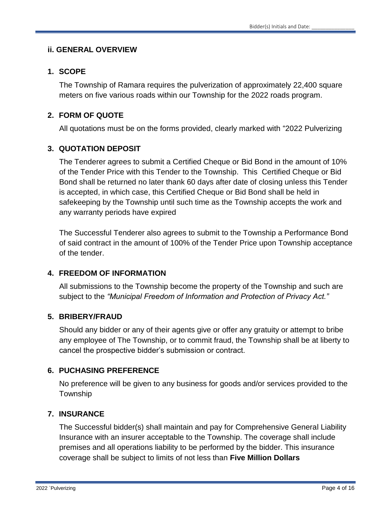#### **ii. GENERAL OVERVIEW**

#### **1. SCOPE**

The Township of Ramara requires the pulverization of approximately 22,400 square meters on five various roads within our Township for the 2022 roads program.

### **2. FORM OF QUOTE**

All quotations must be on the forms provided, clearly marked with "2022 Pulverizing

### **3. QUOTATION DEPOSIT**

The Tenderer agrees to submit a Certified Cheque or Bid Bond in the amount of 10% of the Tender Price with this Tender to the Township. This Certified Cheque or Bid Bond shall be returned no later thank 60 days after date of closing unless this Tender is accepted, in which case, this Certified Cheque or Bid Bond shall be held in safekeeping by the Township until such time as the Township accepts the work and any warranty periods have expired

The Successful Tenderer also agrees to submit to the Township a Performance Bond of said contract in the amount of 100% of the Tender Price upon Township acceptance of the tender.

#### **4. FREEDOM OF INFORMATION**

All submissions to the Township become the property of the Township and such are subject to the *"Municipal Freedom of Information and Protection of Privacy Act."*

#### **5. BRIBERY/FRAUD**

Should any bidder or any of their agents give or offer any gratuity or attempt to bribe any employee of The Township, or to commit fraud, the Township shall be at liberty to cancel the prospective bidder's submission or contract.

#### **6. PUCHASING PREFERENCE**

No preference will be given to any business for goods and/or services provided to the Township

#### **7. INSURANCE**

The Successful bidder(s) shall maintain and pay for Comprehensive General Liability Insurance with an insurer acceptable to the Township. The coverage shall include premises and all operations liability to be performed by the bidder. This insurance coverage shall be subject to limits of not less than **Five Million Dollars**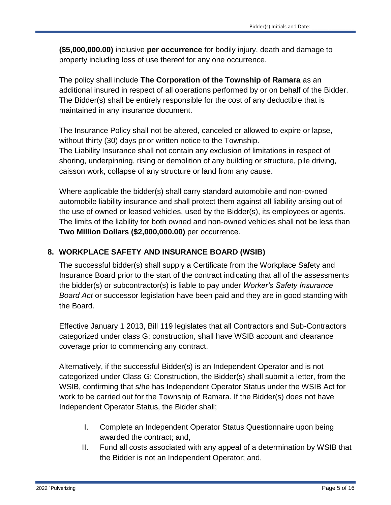**(\$5,000,000.00)** inclusive **per occurrence** for bodily injury, death and damage to property including loss of use thereof for any one occurrence.

The policy shall include **The Corporation of the Township of Ramara** as an additional insured in respect of all operations performed by or on behalf of the Bidder. The Bidder(s) shall be entirely responsible for the cost of any deductible that is maintained in any insurance document.

The Insurance Policy shall not be altered, canceled or allowed to expire or lapse, without thirty (30) days prior written notice to the Township. The Liability Insurance shall not contain any exclusion of limitations in respect of shoring, underpinning, rising or demolition of any building or structure, pile driving, caisson work, collapse of any structure or land from any cause.

Where applicable the bidder(s) shall carry standard automobile and non-owned automobile liability insurance and shall protect them against all liability arising out of the use of owned or leased vehicles, used by the Bidder(s), its employees or agents. The limits of the liability for both owned and non-owned vehicles shall not be less than **Two Million Dollars (\$2,000,000.00)** per occurrence.

# **8. WORKPLACE SAFETY AND INSURANCE BOARD (WSIB)**

The successful bidder(s) shall supply a Certificate from the Workplace Safety and Insurance Board prior to the start of the contract indicating that all of the assessments the bidder(s) or subcontractor(s) is liable to pay under *Worker's Safety Insurance Board Act* or successor legislation have been paid and they are in good standing with the Board.

Effective January 1 2013, Bill 119 legislates that all Contractors and Sub-Contractors categorized under class G: construction, shall have WSIB account and clearance coverage prior to commencing any contract.

Alternatively, if the successful Bidder(s) is an Independent Operator and is not categorized under Class G: Construction, the Bidder(s) shall submit a letter, from the WSIB, confirming that s/he has Independent Operator Status under the WSIB Act for work to be carried out for the Township of Ramara. If the Bidder(s) does not have Independent Operator Status, the Bidder shall;

- I. Complete an Independent Operator Status Questionnaire upon being awarded the contract; and,
- II. Fund all costs associated with any appeal of a determination by WSIB that the Bidder is not an Independent Operator; and,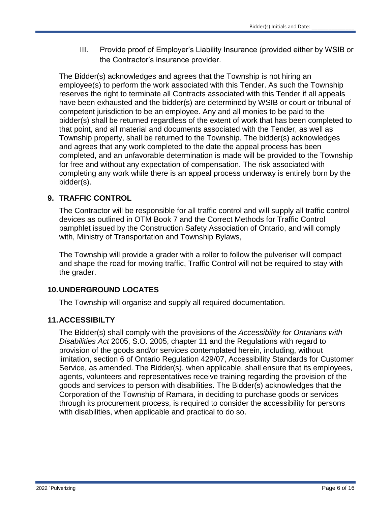III. Provide proof of Employer's Liability Insurance (provided either by WSIB or the Contractor's insurance provider.

The Bidder(s) acknowledges and agrees that the Township is not hiring an employee(s) to perform the work associated with this Tender. As such the Township reserves the right to terminate all Contracts associated with this Tender if all appeals have been exhausted and the bidder(s) are determined by WSIB or court or tribunal of competent jurisdiction to be an employee. Any and all monies to be paid to the bidder(s) shall be returned regardless of the extent of work that has been completed to that point, and all material and documents associated with the Tender, as well as Township property, shall be returned to the Township. The bidder(s) acknowledges and agrees that any work completed to the date the appeal process has been completed, and an unfavorable determination is made will be provided to the Township for free and without any expectation of compensation. The risk associated with completing any work while there is an appeal process underway is entirely born by the bidder(s).

# **9. TRAFFIC CONTROL**

The Contractor will be responsible for all traffic control and will supply all traffic control devices as outlined in OTM Book 7 and the Correct Methods for Traffic Control pamphlet issued by the Construction Safety Association of Ontario, and will comply with, Ministry of Transportation and Township Bylaws,

The Township will provide a grader with a roller to follow the pulveriser will compact and shape the road for moving traffic, Traffic Control will not be required to stay with the grader.

# **10.UNDERGROUND LOCATES**

The Township will organise and supply all required documentation.

# **11.ACCESSIBILTY**

The Bidder(s) shall comply with the provisions of the *Accessibility for Ontarians with Disabilities Act* 2005, S.O. 2005, chapter 11 and the Regulations with regard to provision of the goods and/or services contemplated herein, including, without limitation, section 6 of Ontario Regulation 429/07, Accessibility Standards for Customer Service, as amended. The Bidder(s), when applicable, shall ensure that its employees, agents, volunteers and representatives receive training regarding the provision of the goods and services to person with disabilities. The Bidder(s) acknowledges that the Corporation of the Township of Ramara, in deciding to purchase goods or services through its procurement process, is required to consider the accessibility for persons with disabilities, when applicable and practical to do so.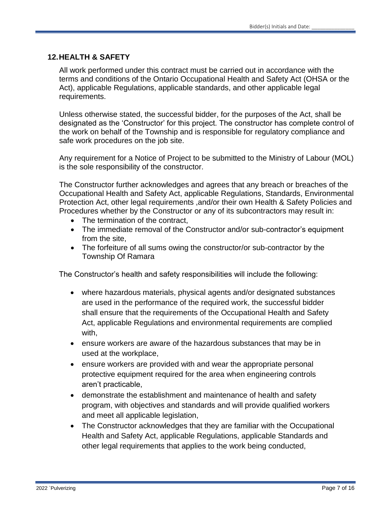#### **12.HEALTH & SAFETY**

All work performed under this contract must be carried out in accordance with the terms and conditions of the Ontario Occupational Health and Safety Act (OHSA or the Act), applicable Regulations, applicable standards, and other applicable legal requirements.

Unless otherwise stated, the successful bidder, for the purposes of the Act, shall be designated as the 'Constructor' for this project. The constructor has complete control of the work on behalf of the Township and is responsible for regulatory compliance and safe work procedures on the job site.

Any requirement for a Notice of Project to be submitted to the Ministry of Labour (MOL) is the sole responsibility of the constructor.

The Constructor further acknowledges and agrees that any breach or breaches of the Occupational Health and Safety Act, applicable Regulations, Standards, Environmental Protection Act, other legal requirements ,and/or their own Health & Safety Policies and Procedures whether by the Constructor or any of its subcontractors may result in:

- The termination of the contract,
- The immediate removal of the Constructor and/or sub-contractor's equipment from the site,
- The forfeiture of all sums owing the constructor/or sub-contractor by the Township Of Ramara

The Constructor's health and safety responsibilities will include the following:

- where hazardous materials, physical agents and/or designated substances are used in the performance of the required work, the successful bidder shall ensure that the requirements of the Occupational Health and Safety Act, applicable Regulations and environmental requirements are complied with,
- ensure workers are aware of the hazardous substances that may be in used at the workplace,
- ensure workers are provided with and wear the appropriate personal protective equipment required for the area when engineering controls aren't practicable,
- demonstrate the establishment and maintenance of health and safety program, with objectives and standards and will provide qualified workers and meet all applicable legislation,
- The Constructor acknowledges that they are familiar with the Occupational Health and Safety Act, applicable Regulations, applicable Standards and other legal requirements that applies to the work being conducted,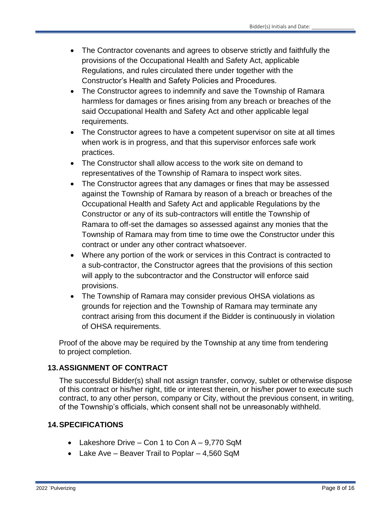- The Contractor covenants and agrees to observe strictly and faithfully the provisions of the Occupational Health and Safety Act, applicable Regulations, and rules circulated there under together with the Constructor's Health and Safety Policies and Procedures.
- The Constructor agrees to indemnify and save the Township of Ramara harmless for damages or fines arising from any breach or breaches of the said Occupational Health and Safety Act and other applicable legal requirements.
- The Constructor agrees to have a competent supervisor on site at all times when work is in progress, and that this supervisor enforces safe work practices.
- The Constructor shall allow access to the work site on demand to representatives of the Township of Ramara to inspect work sites.
- The Constructor agrees that any damages or fines that may be assessed against the Township of Ramara by reason of a breach or breaches of the Occupational Health and Safety Act and applicable Regulations by the Constructor or any of its sub-contractors will entitle the Township of Ramara to off-set the damages so assessed against any monies that the Township of Ramara may from time to time owe the Constructor under this contract or under any other contract whatsoever.
- Where any portion of the work or services in this Contract is contracted to a sub-contractor, the Constructor agrees that the provisions of this section will apply to the subcontractor and the Constructor will enforce said provisions.
- The Township of Ramara may consider previous OHSA violations as grounds for rejection and the Township of Ramara may terminate any contract arising from this document if the Bidder is continuously in violation of OHSA requirements.

Proof of the above may be required by the Township at any time from tendering to project completion.

# **13.ASSIGNMENT OF CONTRACT**

The successful Bidder(s) shall not assign transfer, convoy, sublet or otherwise dispose of this contract or his/her right, title or interest therein, or his/her power to execute such contract, to any other person, company or City, without the previous consent, in writing, of the Township's officials, which consent shall not be unreasonably withheld.

# **14.SPECIFICATIONS**

- Lakeshore Drive Con 1 to Con A 9,770 SqM
- Lake Ave Beaver Trail to Poplar 4,560 SqM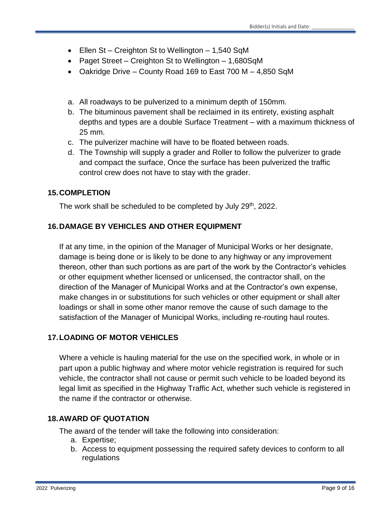- Ellen St Creighton St to Wellington 1,540 SqM
- Paget Street Creighton St to Wellington 1,680SqM
- Oakridge Drive County Road 169 to East 700 M 4,850 SqM
- a. All roadways to be pulverized to a minimum depth of 150mm.
- b. The bituminous pavement shall be reclaimed in its entirety, existing asphalt depths and types are a double Surface Treatment – with a maximum thickness of 25 mm.
- c. The pulverizer machine will have to be floated between roads.
- d. The Township will supply a grader and Roller to follow the pulverizer to grade and compact the surface, Once the surface has been pulverized the traffic control crew does not have to stay with the grader.

### **15.COMPLETION**

The work shall be scheduled to be completed by July 29th, 2022.

### **16.DAMAGE BY VEHICLES AND OTHER EQUIPMENT**

If at any time, in the opinion of the Manager of Municipal Works or her designate, damage is being done or is likely to be done to any highway or any improvement thereon, other than such portions as are part of the work by the Contractor's vehicles or other equipment whether licensed or unlicensed, the contractor shall, on the direction of the Manager of Municipal Works and at the Contractor's own expense, make changes in or substitutions for such vehicles or other equipment or shall alter loadings or shall in some other manor remove the cause of such damage to the satisfaction of the Manager of Municipal Works, including re-routing haul routes.

# **17.LOADING OF MOTOR VEHICLES**

Where a vehicle is hauling material for the use on the specified work, in whole or in part upon a public highway and where motor vehicle registration is required for such vehicle, the contractor shall not cause or permit such vehicle to be loaded beyond its legal limit as specified in the Highway Traffic Act, whether such vehicle is registered in the name if the contractor or otherwise.

#### **18.AWARD OF QUOTATION**

The award of the tender will take the following into consideration:

- a. Expertise;
- b. Access to equipment possessing the required safety devices to conform to all regulations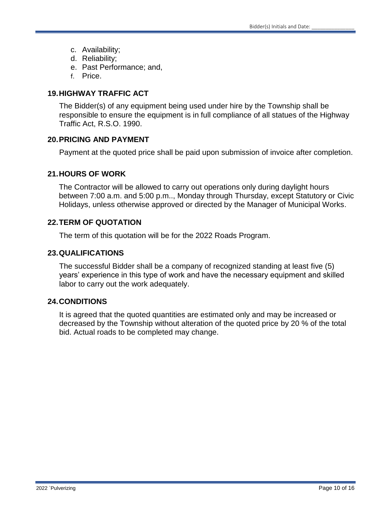- c. Availability;
- d. Reliability;
- e. Past Performance; and,
- f. Price.

### **19.HIGHWAY TRAFFIC ACT**

The Bidder(s) of any equipment being used under hire by the Township shall be responsible to ensure the equipment is in full compliance of all statues of the Highway Traffic Act, R.S.O. 1990.

#### **20.PRICING AND PAYMENT**

Payment at the quoted price shall be paid upon submission of invoice after completion.

#### **21.HOURS OF WORK**

The Contractor will be allowed to carry out operations only during daylight hours between 7:00 a.m. and 5:00 p.m.., Monday through Thursday, except Statutory or Civic Holidays, unless otherwise approved or directed by the Manager of Municipal Works.

#### **22.TERM OF QUOTATION**

The term of this quotation will be for the 2022 Roads Program.

#### **23.QUALIFICATIONS**

The successful Bidder shall be a company of recognized standing at least five (5) years' experience in this type of work and have the necessary equipment and skilled labor to carry out the work adequately.

#### **24.CONDITIONS**

It is agreed that the quoted quantities are estimated only and may be increased or decreased by the Township without alteration of the quoted price by 20 % of the total bid. Actual roads to be completed may change.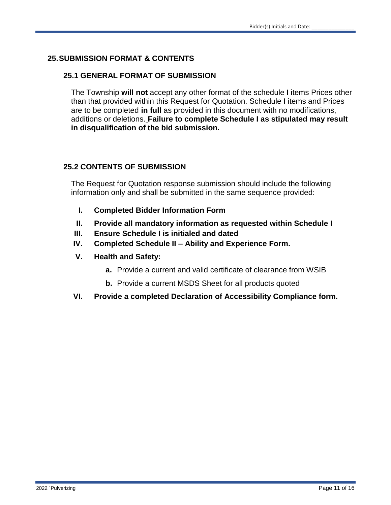# **25.SUBMISSION FORMAT & CONTENTS**

#### **25.1 GENERAL FORMAT OF SUBMISSION**

The Township **will not** accept any other format of the schedule I items Prices other than that provided within this Request for Quotation. Schedule I items and Prices are to be completed **in full** as provided in this document with no modifications, additions or deletions. **Failure to complete Schedule I as stipulated may result in disqualification of the bid submission.**

#### **25.2 CONTENTS OF SUBMISSION**

The Request for Quotation response submission should include the following information only and shall be submitted in the same sequence provided:

- **I. Completed Bidder Information Form**
- **II. Provide all mandatory information as requested within Schedule I**
- **III. Ensure Schedule I is initialed and dated**
- **IV. Completed Schedule II – Ability and Experience Form.**
- **V. Health and Safety:**
	- **a.** Provide a current and valid certificate of clearance from WSIB
	- **b.** Provide a current MSDS Sheet for all products quoted
- **VI. Provide a completed Declaration of Accessibility Compliance form.**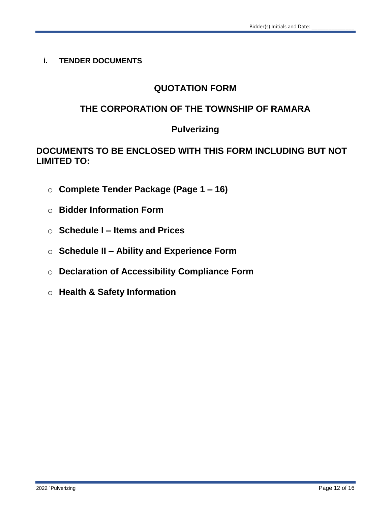**i. TENDER DOCUMENTS**

# **QUOTATION FORM**

# **THE CORPORATION OF THE TOWNSHIP OF RAMARA**

# **Pulverizing**

# **DOCUMENTS TO BE ENCLOSED WITH THIS FORM INCLUDING BUT NOT LIMITED TO:**

- o **Complete Tender Package (Page 1 – 16)**
- o **Bidder Information Form**
- o **Schedule I – Items and Prices**
- o **Schedule II – Ability and Experience Form**
- o **Declaration of Accessibility Compliance Form**
- o **Health & Safety Information**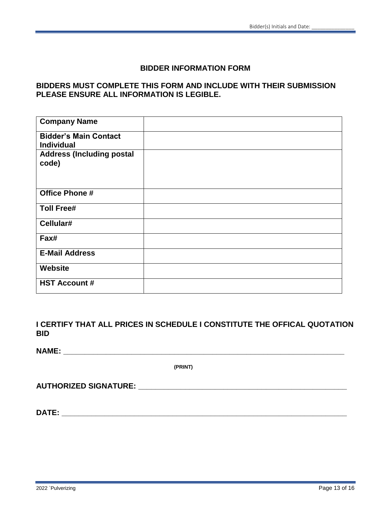#### **BIDDER INFORMATION FORM**

#### **BIDDERS MUST COMPLETE THIS FORM AND INCLUDE WITH THEIR SUBMISSION PLEASE ENSURE ALL INFORMATION IS LEGIBLE.**

| <b>Company Name</b>                               |  |
|---------------------------------------------------|--|
| <b>Bidder's Main Contact</b><br><b>Individual</b> |  |
| <b>Address (Including postal</b><br>code)         |  |
| <b>Office Phone #</b>                             |  |
| <b>Toll Free#</b>                                 |  |
| Cellular#                                         |  |
| Fax#                                              |  |
| <b>E-Mail Address</b>                             |  |
| <b>Website</b>                                    |  |
| <b>HST Account #</b>                              |  |

**I CERTIFY THAT ALL PRICES IN SCHEDULE I CONSTITUTE THE OFFICAL QUOTATION BID**

**(PRINT)**

| <b>AUTHORIZED SIGNATURE:</b> |
|------------------------------|
|------------------------------|

**DATE: \_\_\_\_\_\_\_\_\_\_\_\_\_\_\_\_\_\_\_\_\_\_\_\_\_\_\_\_\_\_\_\_\_\_\_\_\_\_\_\_\_\_\_\_\_\_\_\_\_\_\_\_\_\_\_\_\_\_\_\_\_\_\_\_\_\_\_**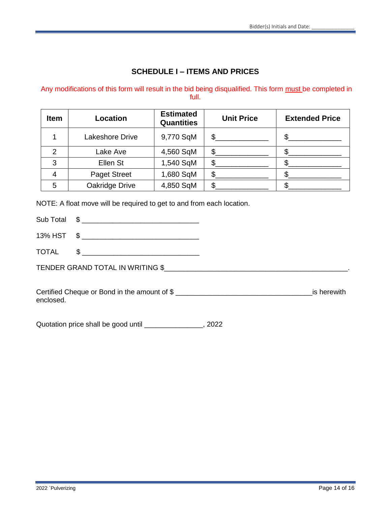### **SCHEDULE I – ITEMS AND PRICES**

#### Any modifications of this form will result in the bid being disqualified. This form must be completed in full.

| <b>Item</b>   | Location               | <b>Estimated</b><br><b>Quantities</b> | <b>Unit Price</b> | <b>Extended Price</b> |
|---------------|------------------------|---------------------------------------|-------------------|-----------------------|
|               | <b>Lakeshore Drive</b> | 9,770 SqM                             | $\mathbb{S}$      |                       |
| $\mathcal{P}$ | Lake Ave               | 4,560 SqM                             | \$                |                       |
| 3             | Ellen St               | 1,540 SqM                             | \$.               |                       |
|               | <b>Paget Street</b>    | 1,680 SqM                             | S                 |                       |
| 5             | Oakridge Drive         | 4,850 SqM                             |                   |                       |

NOTE: A float move will be required to get to and from each location.

Sub Total \$ \_\_\_\_\_\_\_\_\_\_\_\_\_\_\_\_\_\_\_\_\_\_\_\_\_\_\_\_\_\_

13% HST  $\quad \text{\AA}$ 

TOTAL \$

TENDER GRAND TOTAL IN WRITING \$\_\_\_\_\_\_\_\_\_\_\_\_\_\_\_\_\_\_\_\_\_\_\_\_\_\_\_\_\_\_\_\_\_\_\_\_\_\_\_\_\_\_\_\_\_\_\_.

Certified Cheque or Bond in the amount of \$ \_\_\_\_\_\_\_\_\_\_\_\_\_\_\_\_\_\_\_\_\_\_\_\_\_\_\_\_\_\_\_\_\_\_\_is herewith enclosed.

Quotation price shall be good until \_\_\_\_\_\_\_\_\_\_\_\_\_\_\_, 2022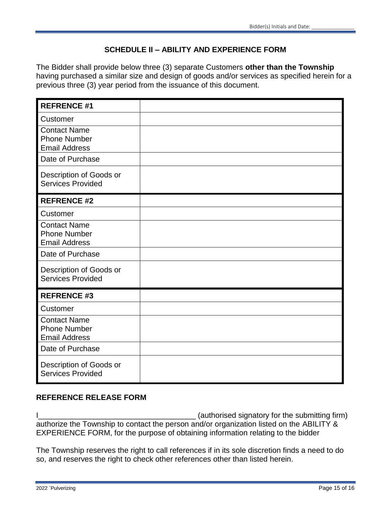# **SCHEDULE II – ABILITY AND EXPERIENCE FORM**

The Bidder shall provide below three (3) separate Customers **other than the Township**  having purchased a similar size and design of goods and/or services as specified herein for a previous three (3) year period from the issuance of this document.

| <b>REFRENCE #1</b>                                                 |  |
|--------------------------------------------------------------------|--|
| Customer                                                           |  |
| <b>Contact Name</b><br><b>Phone Number</b><br><b>Email Address</b> |  |
| Date of Purchase                                                   |  |
| Description of Goods or<br><b>Services Provided</b>                |  |
| <b>REFRENCE #2</b>                                                 |  |
| Customer                                                           |  |
| <b>Contact Name</b><br><b>Phone Number</b><br><b>Email Address</b> |  |
| Date of Purchase                                                   |  |
| Description of Goods or<br><b>Services Provided</b>                |  |
| <b>REFRENCE #3</b>                                                 |  |
| Customer                                                           |  |
| <b>Contact Name</b><br><b>Phone Number</b><br><b>Email Address</b> |  |
| Date of Purchase                                                   |  |
| Description of Goods or<br><b>Services Provided</b>                |  |

# **REFERENCE RELEASE FORM**

I\_\_\_\_\_\_\_\_\_\_\_\_\_\_\_\_\_\_\_\_\_\_\_\_\_\_\_\_\_\_\_\_\_\_\_\_\_ (authorised signatory for the submitting firm) authorize the Township to contact the person and/or organization listed on the ABILITY & EXPERIENCE FORM, for the purpose of obtaining information relating to the bidder

The Township reserves the right to call references if in its sole discretion finds a need to do so, and reserves the right to check other references other than listed herein.